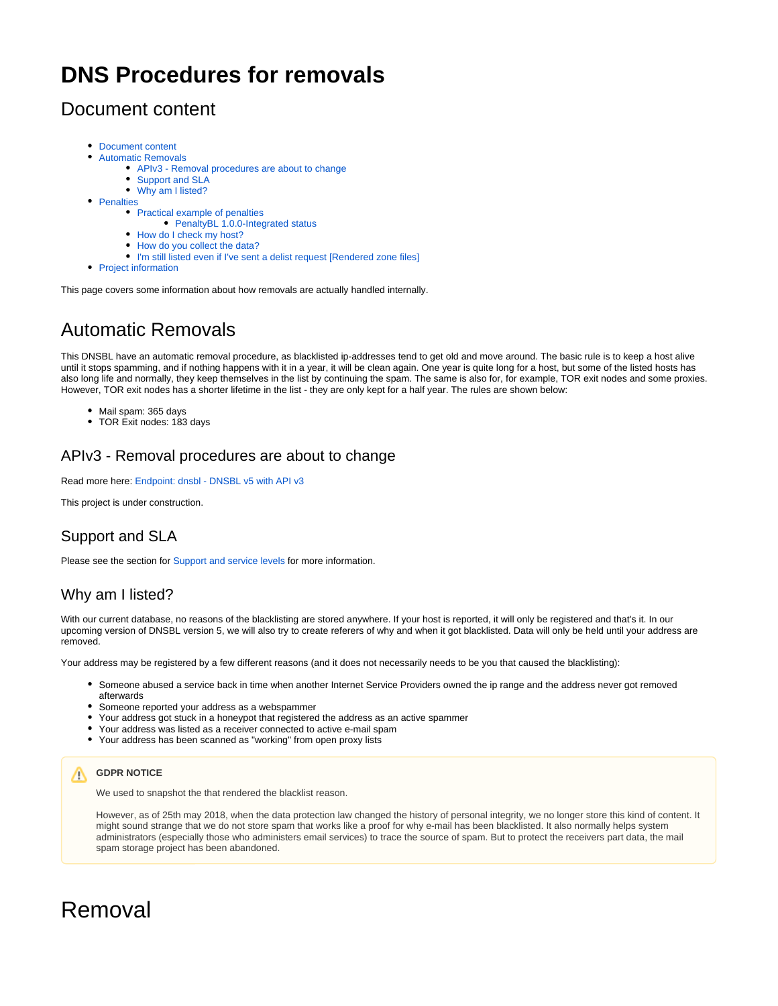# **DNS Procedures for removals**

## <span id="page-0-0"></span>Document content

- [Document content](#page-0-0)
- [Automatic Removals](#page-0-1)
	- [APIv3 Removal procedures are about to change](#page-0-2)
	- [Support and SLA](#page-0-3)
	- [Why am I listed?](#page-0-4)
- [Penalties](#page-1-0)
	- [Practical example of penalties](#page-1-1)
		- [PenaltyBL 1.0.0-Integrated status](#page-1-2)
	- [How do I check my host?](#page-2-0)
	- [How do you collect the data?](#page-2-1)
	- [I'm still listed even if I've sent a delist request \[Rendered zone files\]](#page-2-2)
- [Project information](#page-2-3)

This page covers some information about how removals are actually handled internally.

# <span id="page-0-1"></span>Automatic Removals

This DNSBL have an automatic removal procedure, as blacklisted ip-addresses tend to get old and move around. The basic rule is to keep a host alive until it stops spamming, and if nothing happens with it in a year, it will be clean again. One year is quite long for a host, but some of the listed hosts has also long life and normally, they keep themselves in the list by continuing the spam. The same is also for, for example, TOR exit nodes and some proxies. However, TOR exit nodes has a shorter lifetime in the list - they are only kept for a half year. The rules are shown below:

- Mail spam: 365 days
- TOR Exit nodes: 183 days

## <span id="page-0-2"></span>APIv3 - Removal procedures are about to change

Read more here: [Endpoint: dnsbl - DNSBL v5 with API v3](https://docs.tornevall.net/display/TORNEVALL/Endpoint%3A+dnsbl+-+DNSBL+v5+with+API+v3)

This project is under construction.

## <span id="page-0-3"></span>Support and SLA

Please see the section for [Support and service levels](https://docs.tornevall.net/display/TN/Support+and+service+levels) for more information.

## <span id="page-0-4"></span>Why am I listed?

With our current database, no reasons of the blacklisting are stored anywhere. If your host is reported, it will only be registered and that's it. In our upcoming version of DNSBL version 5, we will also try to create referers of why and when it got blacklisted. Data will only be held until your address are removed.

Your address may be registered by a few different reasons (and it does not necessarily needs to be you that caused the blacklisting):

- Someone abused a service back in time when another Internet Service Providers owned the ip range and the address never got removed afterwards
- Someone reported your address as a webspammer
- Your address got stuck in a honeypot that registered the address as an active spammer
- Your address was listed as a receiver connected to active e-mail spam
- Your address has been scanned as "working" from open proxy lists

## **GDPR NOTICE**

We used to snapshot the that rendered the blacklist reason.

However, as of 25th may 2018, when the data protection law changed the history of personal integrity, we no longer store this kind of content. It might sound strange that we do not store spam that works like a proof for why e-mail has been blacklisted. It also normally helps system administrators (especially those who administers email services) to trace the source of spam. But to protect the receivers part data, the mail spam storage project has been abandoned.

# Removal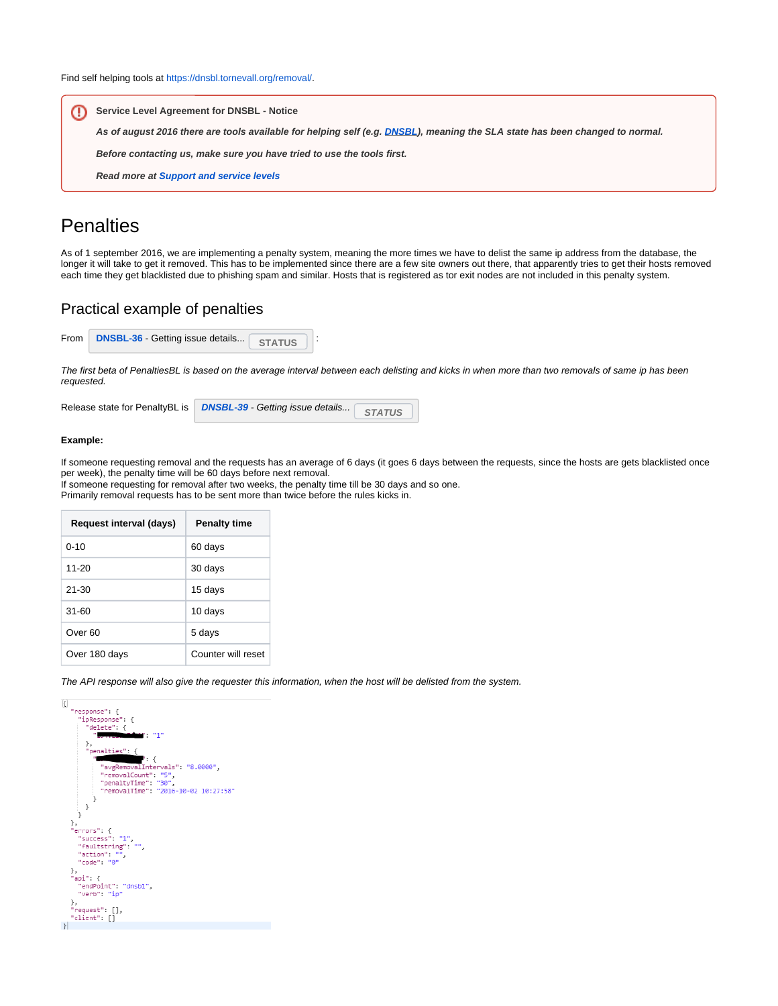Find self helping tools at [https://dnsbl.tornevall.org/removal/.](https://dnsbl.tornevall.org/removal/)

**Service Level Agreement for DNSBL - Notice** ⊕ **As of august 2016 there are tools available for helping self (e.g. [DNSBL\)](https://dnsbl.tornevall.org/removal/), meaning the SLA state has been changed to normal. Before contacting us, make sure you have tried to use the tools first. Read more at [Support and service levels](https://docs.tornevall.net/display/TN/Support+and+service+levels)**

## <span id="page-1-0"></span>**Penalties**

As of 1 september 2016, we are implementing a penalty system, meaning the more times we have to delist the same ip address from the database, the longer it will take to get it removed. This has to be implemented since there are a few site owners out there, that apparently tries to get their hosts removed each time they get blacklisted due to phishing spam and similar. Hosts that is registered as tor exit nodes are not included in this penalty system.

## <span id="page-1-1"></span>Practical example of penalties

| From DNSBL-36 - Getting issue details STATUS | ⊣ ∙ |  |  |
|----------------------------------------------|-----|--|--|
|                                              |     |  |  |

The first beta of PenaltiesBL is based on the average interval between each delisting and kicks in when more than two removals of same ip has been requested.

|  | Release state for PenaltyBL is   DNSBL-39 - Getting issue details | <b>STATUS</b> |  |
|--|-------------------------------------------------------------------|---------------|--|
|--|-------------------------------------------------------------------|---------------|--|

#### **Example:**

If someone requesting removal and the requests has an average of 6 days (it goes 6 days between the requests, since the hosts are gets blacklisted once per week), the penalty time will be 60 days before next removal.

If someone requesting for removal after two weeks, the penalty time till be 30 days and so one. Primarily removal requests has to be sent more than twice before the rules kicks in.

| Request interval (days) | <b>Penalty time</b> |  |  |  |
|-------------------------|---------------------|--|--|--|
| $0 - 10$                | 60 days             |  |  |  |
| $11 - 20$               | 30 days             |  |  |  |
| $21 - 30$               | 15 days             |  |  |  |
| $31 - 60$               | 10 days             |  |  |  |
| Over <sub>60</sub>      | 5 days              |  |  |  |
| Over 180 days           | Counter will reset  |  |  |  |

The API response will also give the requester this information, when the host will be delisted from the system.

<span id="page-1-2"></span>